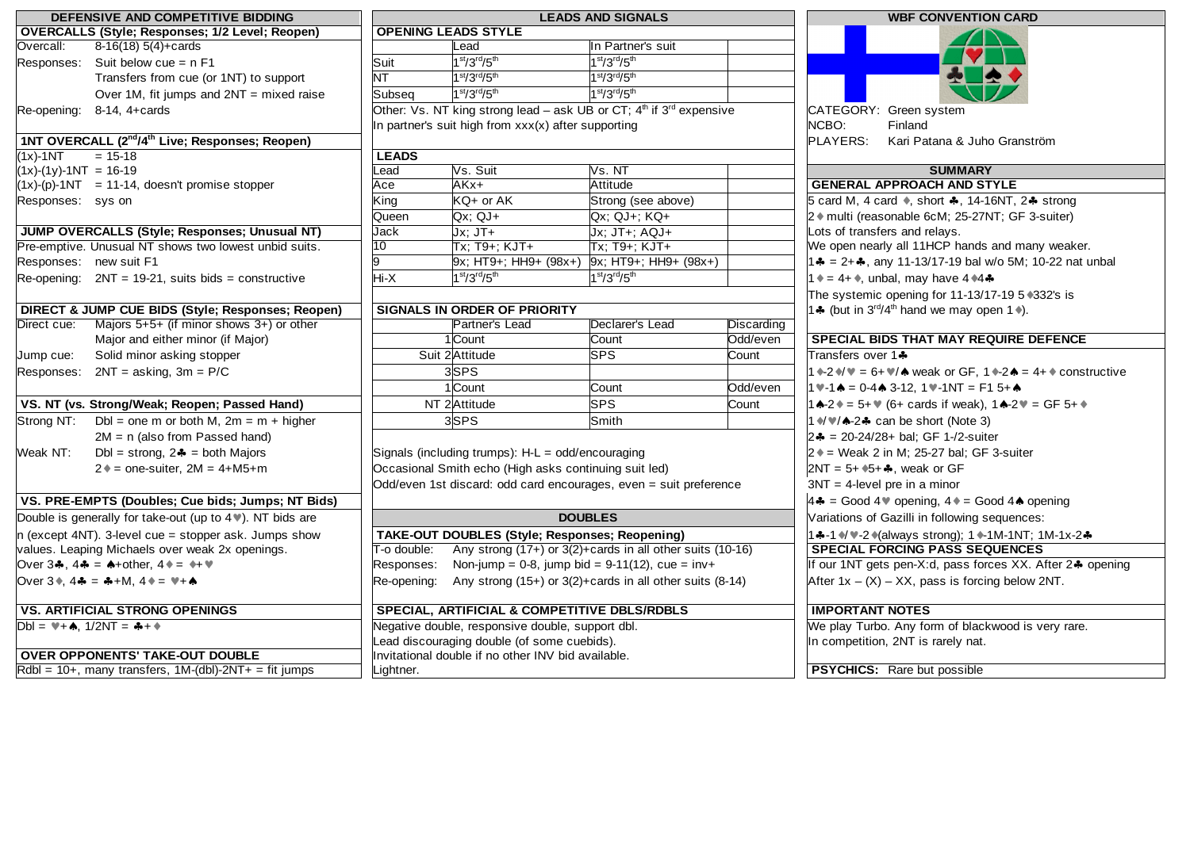| DEFENSIVE AND COMPETITIVE BIDDING                                                                      | <b>LEADS AND SIGNALS</b>                              |                                                                         |                                                                 |            | <b>WBF CONVENTION CARD</b>                                                                                                                                 |  |
|--------------------------------------------------------------------------------------------------------|-------------------------------------------------------|-------------------------------------------------------------------------|-----------------------------------------------------------------|------------|------------------------------------------------------------------------------------------------------------------------------------------------------------|--|
| <b>OVERCALLS (Style; Responses; 1/2 Level; Reopen)</b>                                                 |                                                       | <b>OPENING LEADS STYLE</b>                                              |                                                                 |            |                                                                                                                                                            |  |
| 8-16(18) 5(4)+cards<br>Overcall:                                                                       |                                                       | Lead                                                                    | In Partner's suit                                               |            |                                                                                                                                                            |  |
| Suit below cue = $n F1$<br>Responses:                                                                  | Suit                                                  | $1st/3rd/5th$                                                           | $1st/3rd/5th$                                                   |            |                                                                                                                                                            |  |
| Transfers from cue (or 1NT) to support                                                                 | NT.                                                   | $1st/3rd/5th$                                                           | 1st/3rd/5th                                                     |            |                                                                                                                                                            |  |
| Over 1M, fit jumps and $2NT = mixed$ raise                                                             | Subseq                                                | 1st/3rd/5th                                                             | 1st/3rd/5th                                                     |            |                                                                                                                                                            |  |
| Re-opening: 8-14, 4+cards                                                                              |                                                       | Other: Vs. NT king strong lead – ask UB or CT; $4th$ if $3rd$ expensive |                                                                 |            | CATEGORY: Green system                                                                                                                                     |  |
|                                                                                                        |                                                       | In partner's suit high from xxx(x) after supporting                     |                                                                 |            | NCBO:<br>Finland                                                                                                                                           |  |
| 1NT OVERCALL (2 <sup>nd</sup> /4 <sup>th</sup> Live; Responses; Reopen)                                |                                                       |                                                                         |                                                                 |            | PLAYERS:<br>Kari Patana & Juho Granström                                                                                                                   |  |
| $(1x)$ -1NT<br>$= 15 - 18$                                                                             | <b>LEADS</b>                                          |                                                                         |                                                                 |            |                                                                                                                                                            |  |
| $(1x)-(1y)-1NT = 16-19$                                                                                | Lead                                                  | Vs. Suit                                                                | Vs. NT                                                          |            | <b>SUMMARY</b>                                                                                                                                             |  |
| $(1x)$ -(p)-1NT = 11-14, doesn't promise stopper                                                       | Ace                                                   | AKx+                                                                    | Attitude                                                        |            | <b>GENERAL APPROACH AND STYLE</b>                                                                                                                          |  |
| Responses: sys on                                                                                      | King                                                  | KQ+ or AK                                                               | Strong (see above)                                              |            | 5 card M, 4 card $\bullet$ , short $\clubsuit$ , 14-16NT, 2 $\clubsuit$ strong                                                                             |  |
|                                                                                                        | Queen                                                 | $Qx$ ; QJ+                                                              | $Qx$ ; QJ+; KQ+                                                 |            | 2 ♦ multi (reasonable 6cM; 25-27NT; GF 3-suiter)                                                                                                           |  |
| JUMP OVERCALLS (Style; Responses; Unusual NT)                                                          | Jack                                                  | $Jx$ ; $JT+$                                                            | Jx; JT+; AQJ+                                                   |            | Lots of transfers and relays.                                                                                                                              |  |
| Pre-emptive. Unusual NT shows two lowest unbid suits.                                                  | $\overline{10}$                                       | Tx; T9+; KJT+                                                           | Tx; T9+; KJT+                                                   |            | We open nearly all 11HCP hands and many weaker.                                                                                                            |  |
| Responses: new suit F1                                                                                 | g                                                     |                                                                         | $ 9x; HT9+; HH9+ (98x+)  9x; HT9+; HH9+ (98x+)$                 |            | 14 = $2 + 4$ , any 11-13/17-19 bal w/o 5M; 10-22 nat unbal                                                                                                 |  |
| Re-opening: $2NT = 19-21$ , suits bids = constructive                                                  | Hi-X                                                  | $1st/3rd/5th$                                                           | $1st/3rd/5th$                                                   |            | $1 \div = 4 + \div$ , unbal, may have $4 \div 4 \div 4$                                                                                                    |  |
|                                                                                                        |                                                       |                                                                         |                                                                 |            | The systemic opening for 11-13/17-19 5 *332's is                                                                                                           |  |
| DIRECT & JUMP CUE BIDS (Style; Responses; Reopen)                                                      |                                                       | <b>SIGNALS IN ORDER OF PRIORITY</b>                                     |                                                                 |            | 14 (but in 3 <sup>rd</sup> /4 <sup>th</sup> hand we may open 1 <sup>*</sup> ).                                                                             |  |
| Majors $5+5+$ (if minor shows $3+$ ) or other<br>Direct cue:                                           |                                                       | Partner's Lead                                                          | Declarer's Lead                                                 | Discarding |                                                                                                                                                            |  |
| Major and either minor (if Major)                                                                      |                                                       | 1 Count                                                                 | Count                                                           | Odd/even   | <b>SPECIAL BIDS THAT MAY REQUIRE DEFENCE</b>                                                                                                               |  |
| Solid minor asking stopper<br>Jump cue:                                                                |                                                       | Suit 2 Attitude                                                         | <b>SPS</b>                                                      | Count      | Transfers over 14                                                                                                                                          |  |
| $2NT = asking$ , $3m = P/C$<br>Responses:                                                              |                                                       | 3SPS                                                                    |                                                                 |            | 1 $\rightarrow$ 2 $\rightarrow$ $\rightarrow$ = 6+ $\rightarrow$ $\rightarrow$ weak or GF, 1 $\rightarrow$ 2 $\rightarrow$ = 4+ $\rightarrow$ constructive |  |
|                                                                                                        |                                                       | 1Count                                                                  | Count                                                           | Odd/even   | $14 - 1$ $\triangle$ = 0-4 $\triangle$ 3-12, 1 $\triangle$ -1NT = F1 5+ $\triangle$                                                                        |  |
| VS. NT (vs. Strong/Weak; Reopen; Passed Hand)                                                          |                                                       | NT 2 Attitude                                                           | <b>SPS</b>                                                      | Count      | 1 <b>A-2</b> $* = 5 +$ $*$ (6+ cards if weak), 1 <b>A-2</b> $* =$ GF 5+ $*$                                                                                |  |
| Dbl = one m or both M, $2m = m + higher$<br>Strong NT:                                                 |                                                       | 3SPS                                                                    | Smith                                                           |            | 1 $\sqrt{v}/\sqrt{2}$ can be short (Note 3)                                                                                                                |  |
| $2M = n$ (also from Passed hand)                                                                       |                                                       |                                                                         |                                                                 |            | $2 - 20-24/28 + 5$ al; GF 1-/2-suiter                                                                                                                      |  |
| Dbl = strong, $2 - 1$ = both Majors<br>Weak NT:                                                        |                                                       | Signals (including trumps): H-L = odd/encouraging                       |                                                                 |            | $2 \div =$ Weak 2 in M; 25-27 bal; GF 3-suiter                                                                                                             |  |
| $2 \div =$ one-suiter, $2M = 4 + M5 + m$                                                               | Occasional Smith echo (High asks continuing suit led) |                                                                         |                                                                 |            | $2NT = 5 + 15 + 15$ , weak or GF                                                                                                                           |  |
|                                                                                                        |                                                       | Odd/even 1st discard: odd card encourages, even = suit preference       |                                                                 |            | $3NT = 4$ -level pre in a minor                                                                                                                            |  |
| VS. PRE-EMPTS (Doubles; Cue bids; Jumps; NT Bids)                                                      |                                                       |                                                                         |                                                                 |            | $4\clubsuit$ = Good 4 $\blacktriangledown$ opening, 4 $\blacktriangledown$ = Good 4 $\spadesuit$ opening                                                   |  |
| Double is generally for take-out (up to 4%). NT bids are                                               |                                                       |                                                                         | <b>DOUBLES</b>                                                  |            | Variations of Gazilli in following sequences:                                                                                                              |  |
| $n$ (except 4NT). 3-level cue = stopper ask. Jumps show                                                |                                                       | TAKE-OUT DOUBLES (Style; Responses; Reopening)                          |                                                                 |            | 14-1 V V-2 (always strong); 1 0-1M-1NT; 1M-1x-24                                                                                                           |  |
| values. Leaping Michaels over weak 2x openings.                                                        | T-o double:                                           |                                                                         | Any strong (17+) or 3(2)+cards in all other suits (10-16)       |            | <b>SPECIAL FORCING PASS SEQUENCES</b>                                                                                                                      |  |
| Over $3\clubsuit$ , $4\clubsuit = \spadesuit + \text{other}$ , $4\spadesuit = \spadesuit + \spadesuit$ | Responses:                                            | Non-jump = 0-8, jump bid = $9-11(12)$ , cue = inv+                      |                                                                 |            | If our 1NT gets pen-X:d, pass forces XX. After 2♣ opening                                                                                                  |  |
| Over $3$ ♦, $4\clubsuit =$ $\clubsuit$ +M, $4\spadesuit =$ $\Psi$ + $\spadesuit$                       | Re-opening:                                           |                                                                         | Any strong $(15+)$ or $3(2)$ +cards in all other suits $(8-14)$ |            | After $1x - (X) - XX$ , pass is forcing below 2NT.                                                                                                         |  |
| <b>VS. ARTIFICIAL STRONG OPENINGS</b>                                                                  | SPECIAL, ARTIFICIAL & COMPETITIVE DBLS/RDBLS          |                                                                         |                                                                 |            | <b>IMPORTANT NOTES</b>                                                                                                                                     |  |
| $Dbl = W + A$ , $1/2NT = A + A$                                                                        | Negative double, responsive double, support dbl.      |                                                                         |                                                                 |            | We play Turbo. Any form of blackwood is very rare.                                                                                                         |  |
|                                                                                                        |                                                       | Lead discouraging double (of some cuebids).                             |                                                                 |            | In competition, 2NT is rarely nat.                                                                                                                         |  |
| <b>OVER OPPONENTS' TAKE-OUT DOUBLE</b>                                                                 |                                                       | Invitational double if no other INV bid available.                      |                                                                 |            | <b>PSYCHICS:</b> Rare but possible                                                                                                                         |  |
| $Rdbl = 10+,$ many transfers, 1M-(dbl)-2NT+ = fit jumps                                                | Lightner.                                             |                                                                         |                                                                 |            |                                                                                                                                                            |  |

|                                                                  |                                                       | <b>LEADS AND SIGNALS</b>                                                | <b>WBF CONVENTION CARD</b> |                                                                                                                                                            |  |
|------------------------------------------------------------------|-------------------------------------------------------|-------------------------------------------------------------------------|----------------------------|------------------------------------------------------------------------------------------------------------------------------------------------------------|--|
|                                                                  | <b>OPENING LEADS STYLE</b>                            |                                                                         |                            |                                                                                                                                                            |  |
|                                                                  | Lead                                                  | In Partner's suit                                                       |                            |                                                                                                                                                            |  |
| Suit                                                             | $1st/3rd/5th$                                         | 1 <sup>st</sup> /3 <sup>rd</sup> /5 <sup>th</sup>                       |                            |                                                                                                                                                            |  |
| NT                                                               | $1st/3rd/5th$                                         | 1 <sup>st</sup> /3 <sup>rd</sup> /5 <sup>th</sup>                       |                            |                                                                                                                                                            |  |
| Subsea                                                           | 1st/3rd/5th                                           | 1st/3rd/5th                                                             |                            |                                                                                                                                                            |  |
|                                                                  | In partner's suit high from xxx(x) after supporting   | Other: Vs. NT king strong lead – ask UB or CT; $4th$ if $3rd$ expensive |                            | CATEGORY: Green system<br>NCBO:<br>Finland<br>PLAYERS:<br>Kari Patana & Juho Granström                                                                     |  |
| <b>LEADS</b>                                                     |                                                       |                                                                         |                            |                                                                                                                                                            |  |
| Lead                                                             | Vs. Suit                                              | Vs. NT                                                                  |                            | <b>SUMMARY</b>                                                                                                                                             |  |
| Ace                                                              | AKx+                                                  | Attitude                                                                |                            | <b>GENERAL APPROACH AND STYLE</b>                                                                                                                          |  |
| King                                                             | KQ+ or AK                                             | Strong (see above)                                                      |                            | 5 card M, 4 card $\bullet$ , short $\clubsuit$ , 14-16NT, 2 $\clubsuit$ strong                                                                             |  |
| Queen                                                            | $Qx$ ; $QJ+$                                          | $Qx$ ; QJ+; KQ+                                                         |                            | 2 · multi (reasonable 6cM; 25-27NT; GF 3-suiter)                                                                                                           |  |
| Jack                                                             | $Jx$ : $JT+$                                          | Jx; JT+; AQJ+                                                           |                            | Lots of transfers and relays.                                                                                                                              |  |
| 10                                                               | $Tx; T9+; KJT+$                                       | Tx; T9+; KJT+                                                           |                            | We open nearly all 11HCP hands and many weaker.                                                                                                            |  |
| 9                                                                | 9x; HT9+; HH9+ (98x+)                                 | $ 9x; HT9+; HH9+ (98x+)$                                                |                            | 14 = $2 + 4$ , any 11-13/17-19 bal w/o 5M; 10-22 nat unbal                                                                                                 |  |
| Hi-X                                                             | $1st/3rd/5th$                                         | $1st/3rd/5th$                                                           |                            | $1 \div = 4 + \div$ , unbal, may have $4 \div 4 \div 4$                                                                                                    |  |
|                                                                  |                                                       |                                                                         |                            | The systemic opening for 11-13/17-19 5 *332's is                                                                                                           |  |
|                                                                  | SIGNALS IN ORDER OF PRIORITY                          |                                                                         |                            | 14 (but in $3^{\text{rd}}/4^{\text{th}}$ hand we may open 1.).                                                                                             |  |
|                                                                  | Partner's Lead                                        | Declarer's Lead                                                         | Discarding                 |                                                                                                                                                            |  |
|                                                                  | 1 Count                                               | Count                                                                   | Odd/even                   | SPECIAL BIDS THAT MAY REQUIRE DEFENCE                                                                                                                      |  |
|                                                                  | Suit 2 Attitude                                       | <b>SPS</b>                                                              | Count                      | Transfers over 1♣                                                                                                                                          |  |
|                                                                  | 3SPS                                                  |                                                                         |                            | 1 $\rightarrow$ 2 $\rightarrow$ $\rightarrow$ = 6+ $\rightarrow$ $\rightarrow$ weak or GF, 1 $\rightarrow$ 2 $\rightarrow$ = 4+ $\rightarrow$ constructive |  |
|                                                                  | 1 Count                                               | Count                                                                   | Odd/even                   | $14 - 1$ $\triangle$ = 0-4 $\triangle$ 3-12, 1 $\triangle$ -1NT = F1 5+ $\triangle$                                                                        |  |
|                                                                  | NT 2Attitude                                          | <b>SPS</b>                                                              | Count                      | 1 <b>A-2</b> $\bullet$ = 5+ $\bullet$ (6+ cards if weak), 1 <b>A-2</b> $\bullet$ = GF 5+ $\bullet$                                                         |  |
|                                                                  | 3SPS                                                  | Smith                                                                   |                            | 1 $\sqrt{v}/\sqrt{2}$ can be short (Note 3)                                                                                                                |  |
|                                                                  |                                                       |                                                                         |                            |                                                                                                                                                            |  |
|                                                                  |                                                       |                                                                         |                            | $2 - 20-24/28 + 5$ al; GF 1-/2-suiter                                                                                                                      |  |
|                                                                  | Signals (including trumps): H-L = odd/encouraging     |                                                                         |                            | $2 \div =$ Weak 2 in M; 25-27 bal; GF 3-suiter                                                                                                             |  |
|                                                                  | Occasional Smith echo (High asks continuing suit led) |                                                                         |                            | 2NT = $5 + 15 + 15$ , weak or GF                                                                                                                           |  |
|                                                                  |                                                       | Odd/even 1st discard: odd card encourages, even = suit preference       |                            | $3NT = 4$ -level pre in a minor                                                                                                                            |  |
|                                                                  |                                                       |                                                                         |                            | $4\clubsuit$ = Good 4 $\blacktriangledown$ opening, 4 $\blacktriangledown$ = Good 4 $\spadesuit$ opening                                                   |  |
|                                                                  |                                                       | <b>DOUBLES</b>                                                          |                            | Variations of Gazilli in following sequences:                                                                                                              |  |
|                                                                  | TAKE-OUT DOUBLES (Style; Responses; Reopening)        |                                                                         |                            | 14-1 V V-2 (always strong); 1 1 1 M-1 NT; 1 M-1 x-2 4                                                                                                      |  |
| T-o double:                                                      |                                                       | Any strong (17+) or 3(2)+cards in all other suits (10-16)               |                            | <b>SPECIAL FORCING PASS SEQUENCES</b>                                                                                                                      |  |
| Non-jump = 0-8, jump bid = $9-11(12)$ , cue = inv+<br>Responses: |                                                       |                                                                         |                            | If our 1NT gets pen-X:d, pass forces XX. After 24 opening                                                                                                  |  |
| Re-opening:                                                      |                                                       | Any strong $(15+)$ or $3(2)$ +cards in all other suits $(8-14)$         |                            | After $1x - (X) - XX$ , pass is forcing below 2NT.                                                                                                         |  |
|                                                                  | SPECIAL, ARTIFICIAL & COMPETITIVE DBLS/RDBLS          |                                                                         |                            | <b>IMPORTANT NOTES</b>                                                                                                                                     |  |
| Negative double, responsive double, support dbl.                 |                                                       |                                                                         |                            | We play Turbo. Any form of blackwood is very rare.                                                                                                         |  |
|                                                                  | Lead discouraging double (of some cuebids).           |                                                                         |                            | In competition, 2NT is rarely nat.                                                                                                                         |  |
|                                                                  | Invitational double if no other INV bid available.    |                                                                         |                            |                                                                                                                                                            |  |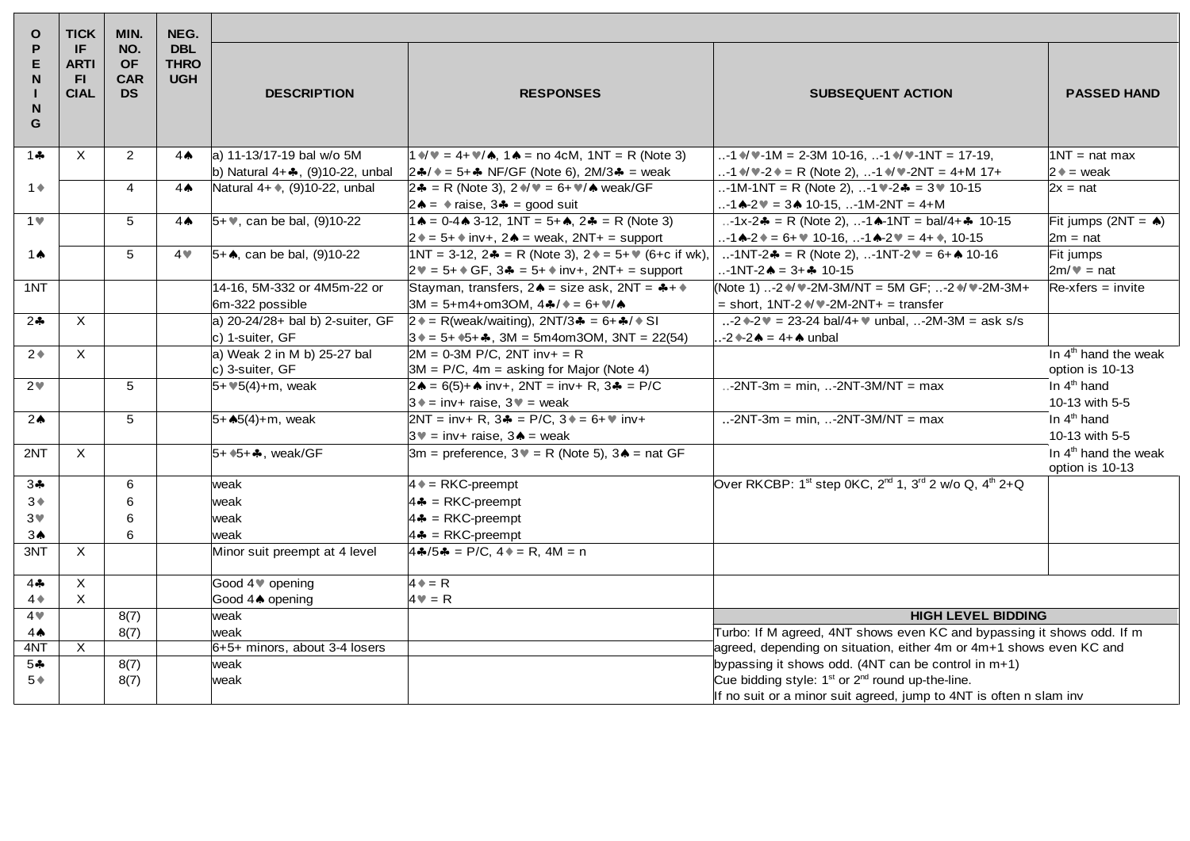| $\mathbf{o}$                       | <b>TICK</b>                              | MIN.                                        | NEG.                                    |                                      |                                                                                                                                                                         |                                                                                                                         |                                                     |
|------------------------------------|------------------------------------------|---------------------------------------------|-----------------------------------------|--------------------------------------|-------------------------------------------------------------------------------------------------------------------------------------------------------------------------|-------------------------------------------------------------------------------------------------------------------------|-----------------------------------------------------|
| P<br>Е<br>N<br>N <sub>1</sub><br>G | IF.<br><b>ARTI</b><br>-FL<br><b>CIAL</b> | NO.<br><b>OF</b><br><b>CAR</b><br><b>DS</b> | <b>DBL</b><br><b>THRO</b><br><b>UGH</b> | <b>DESCRIPTION</b>                   | <b>RESPONSES</b>                                                                                                                                                        | <b>SUBSEQUENT ACTION</b>                                                                                                | <b>PASSED HAND</b>                                  |
| $1 -$                              | X.                                       | $\overline{2}$                              | $4^$                                    | a) 11-13/17-19 bal w/o 5M            | $1 \sqrt{v} = 4 + \sqrt{4}$ , $1 \cdot 4 =$ no 4cM, $1NT = R$ (Note 3)                                                                                                  |                                                                                                                         | $1NT = nat max$                                     |
|                                    |                                          |                                             |                                         | b) Natural $4 + 4$ , (9)10-22, unbal | $ 24/4 = 5 + 4$ NF/GF (Note 6), 2M/34 = weak                                                                                                                            | -1 $\sqrt{v}$ -2 $\sqrt{v}$ = R (Note 2), -1 $\sqrt{v}$ -2NT = 4+M 17+                                                  | $2 \triangleq$ = weak                               |
| $1 +$                              |                                          | 4                                           | 4 <sub>•</sub>                          | Natural 4+ ♦, (9)10-22, unbal        | $2\clubsuit$ = R (Note 3), $2\clubsuit/\blacktriangledown$ = 6+ $\blacktriangledown/\spadesuit$ weak/GF<br>$2\spadesuit$ = $\spadesuit$ raise, $3\clubsuit$ = good suit | -1M-1NT = R (Note 2), -1 -2 = 3 = 10-15<br>-1 $\triangle$ -2 $\blacktriangleright$ = 3 $\triangle$ 10-15, -1M-2NT = 4+M | $2x = nat$                                          |
| 1 <sub>v</sub>                     |                                          | 5                                           | 4 <sub>•</sub>                          | $5 + $ , can be bal, $(9)10-22$      | $1 \triangle = 0.4 \triangle 3.12$ , $1NT = 5 + \triangle$ , $2 \triangle = R$ (Note 3)                                                                                 | -1x-2 $\clubsuit$ = R (Note 2), -1 $\spadesuit$ -1NT = bal/4+ $\clubsuit$ 10-15                                         | Fit jumps $(2NT = \spadesuit)$                      |
|                                    |                                          |                                             |                                         |                                      | $2 \div = 5 + \div$ inv+, $2 \div =$ weak, $2NT +$ = support                                                                                                            | $. -1$ A-2 $\bullet$ = 6+ $\bullet$ 10-16, $. -1$ A-2 $\bullet$ = 4+ $\bullet$ , 10-15                                  | $2m = nat$                                          |
| 1 $\spadesuit$                     |                                          | 5                                           | 4 <sub>W</sub>                          | $5+$ , can be bal, (9)10-22          | 1NT = 3-12, 2♣ = R (Note 3), 2♦ = 5+ ♦ (6+c if wk),<br>$2\Psi = 5 + \text{GF}$ , $3\clubsuit = 5 + \text{inv} +$ , $2NT + \text{S}$ support                             | -1NT-2 $\clubsuit$ = R (Note 2), -1NT-2 $\Psi$ = 6+ $\spadesuit$ 10-16<br>$-1$ NT-2 $\spadesuit$ = 3+ $\clubsuit$ 10-15 | Fit jumps<br>$2m/\nu$ = nat                         |
| 1NT                                |                                          |                                             |                                         | 14-16, 5M-332 or 4M5m-22 or          | Stayman, transfers, $2 \cdot =$ size ask, $2NT =$ $4 +$                                                                                                                 | (Note 1) -2 ♦/ • -2M-3M/NT = 5M GF; -2 ♦/ • -2M-3M+                                                                     | $Re{\text -}x$ fers = invite                        |
|                                    |                                          |                                             |                                         | 6m-322 possible                      | $3M = 5+ m4+ om3OM$ , $4A/$ + = 6+ $M/A$                                                                                                                                | $=$ short, 1NT-2 $\sqrt{*}$ -2M-2NT+ = transfer                                                                         |                                                     |
| $2 - 1$                            | $\times$                                 |                                             |                                         | a) 20-24/28+ bal b) 2-suiter, GF     | $2 \cdot = R(weak/waiting), 2NT/3 \cdot = 6 + \cdot / \cdot S$                                                                                                          | -2 $-2$ = 23-24 bal/4+ $\bullet$ unbal, -2M-3M = ask s/s                                                                |                                                     |
|                                    |                                          |                                             |                                         | c) 1-suiter, GF                      | $3 \div 5 + 5 + 5$ , 3M = 5m4om3OM, 3NT = 22(54)                                                                                                                        | $-2$ $-2$ $\bullet$ = 4+ $\bullet$ unbal                                                                                |                                                     |
| $2*$                               | X                                        |                                             |                                         | a) Weak 2 in M b) 25-27 bal          | $2M = 0-3M$ P/C, 2NT inv+ = R                                                                                                                                           |                                                                                                                         | In $4th$ hand the weak                              |
|                                    |                                          |                                             |                                         | $ c $ 3-suiter, $GF$                 | $3M = P/C$ , 4m = asking for Major (Note 4)                                                                                                                             |                                                                                                                         | option is 10-13                                     |
| 2 <sub>v</sub>                     |                                          | 5                                           |                                         | $5 + 15(4) + m$ , weak               | $2\spadesuit$ = 6(5)+ $\spadesuit$ inv+, 2NT = inv+ R, 3 $\clubsuit$ = P/C                                                                                              | -2NT-3m = min, -2NT-3M/NT = max                                                                                         | In 4 <sup>th</sup> hand                             |
|                                    |                                          |                                             |                                         |                                      | $3 \cdot = inv + raise$ , $3 \cdot = weak$                                                                                                                              |                                                                                                                         | 10-13 with 5-5                                      |
| 2 <sub>0</sub>                     |                                          | 5                                           |                                         | 5+ $\clubsuit$ 5(4)+m, weak          | $2NT = inv + R$ , $3\clubsuit = P/C$ , $3\spadesuit = 6 + W inv +$                                                                                                      | -2NT-3m = min, -2NT-3M/NT = max                                                                                         | In $4th$ hand                                       |
|                                    |                                          |                                             |                                         |                                      | $3^{\circ}$ = inv+ raise, $3^{\circ}$ = weak                                                                                                                            |                                                                                                                         | 10-13 with 5-5                                      |
| 2NT                                | X                                        |                                             |                                         | $5+$ $5+$ $\clubsuit$ , weak/GF      | $3m$ = preference, $3\mathbb{V}$ = R (Note 5), $3\mathbb{A}$ = nat GF                                                                                                   |                                                                                                                         | In 4 <sup>th</sup> hand the weak<br>option is 10-13 |
| $3 -$                              |                                          | 6                                           |                                         | weak                                 | $4 \triangleq RKC$ -preempt                                                                                                                                             | Over RKCBP: 1 <sup>st</sup> step 0KC, 2 <sup>nd</sup> 1, 3 <sup>rd</sup> 2 w/o Q, 4 <sup>th</sup> 2+Q                   |                                                     |
| $3*$                               |                                          | 6                                           |                                         | lweak                                | $4 - $ = RKC-preempt                                                                                                                                                    |                                                                                                                         |                                                     |
| 3 <sub>v</sub>                     |                                          | 6                                           |                                         | lweak                                | $4 -$ = RKC-preempt                                                                                                                                                     |                                                                                                                         |                                                     |
| $3^$                               |                                          | 6                                           |                                         | lweak                                | $4 - $ = RKC-preempt                                                                                                                                                    |                                                                                                                         |                                                     |
| 3NT                                | X.                                       |                                             |                                         | Minor suit preempt at 4 level        | $4\clubsuit/5\clubsuit$ = P/C, $4\spadesuit$ = R, $4M$ = n                                                                                                              |                                                                                                                         |                                                     |
| $4 -$                              | $\times$                                 |                                             |                                         | Good 4 ♥ opening                     | $4 \triangleq R$                                                                                                                                                        |                                                                                                                         |                                                     |
| $4*$                               | X                                        |                                             |                                         | Good 44 opening                      | $4\P$ = R                                                                                                                                                               |                                                                                                                         |                                                     |
| 4 <sub>•</sub>                     |                                          | 8(7)                                        |                                         | lweak                                |                                                                                                                                                                         | <b>HIGH LEVEL BIDDING</b>                                                                                               |                                                     |
| $4^$                               |                                          | 8(7)                                        |                                         | lweak                                |                                                                                                                                                                         | Turbo: If M agreed, 4NT shows even KC and bypassing it shows odd. If m                                                  |                                                     |
| 4NT                                | $\times$                                 |                                             |                                         | 6+5+ minors, about 3-4 losers        |                                                                                                                                                                         | agreed, depending on situation, either 4m or 4m+1 shows even KC and                                                     |                                                     |
| $5 -$                              |                                          | 8(7)                                        |                                         | lweak                                |                                                                                                                                                                         | bypassing it shows odd. $(4NT can be control in m+1)$                                                                   |                                                     |
| $5*$                               |                                          | 8(7)                                        |                                         | lweak                                |                                                                                                                                                                         | Cue bidding style: 1 <sup>st</sup> or 2 <sup>nd</sup> round up-the-line.                                                |                                                     |
|                                    |                                          |                                             |                                         |                                      |                                                                                                                                                                         | If no suit or a minor suit agreed, jump to 4NT is often n slam inv                                                      |                                                     |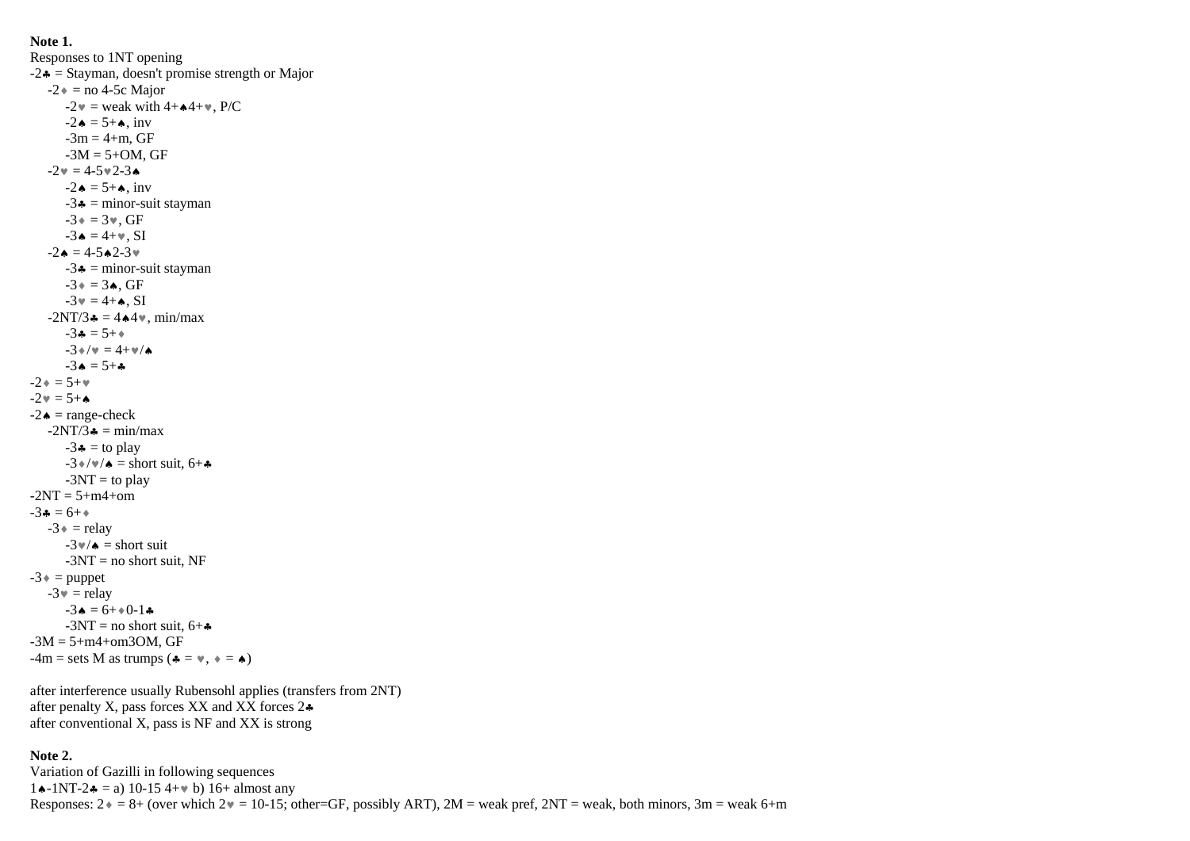**Note 1.** Responses to 1NT opening  $-2$  = Stayman, doesn't promise strength or Major  $-2 \triangleq$  = no 4-5c Major  $-2\mathbf{v}$  = weak with  $4+\mathbf{A}4+\mathbf{v}$ , P/C  $-2 \bullet = 5 + \bullet$ , inv  $-3m = 4 + m$ , GF  $-3M = 5 + OM$ , GF  $-2 \cdot = 4 - 5 \cdot 2 - 3 \cdot$  $-2 \bullet = 5 + \bullet$ , inv  $-3$  = minor-suit stayman  $-3* = 3*$ , GF  $-3 \bullet = 4+\mathbf{v}$ . SI  $-2 \cdot = 4 - 5 \cdot 2 - 3 \cdot$  $-3$  = minor-suit stayman  $-3 \bullet = 3 \bullet$ , GF  $-3 \mathbf{v} = 4 + \mathbf{A}$ . SI  $-2NT/3 = 4.4$ , min/max  $-3 \cdot = 5 + \cdot$  $-3*/v = 4+v/k$  $-3 \bullet = 5 + \bullet$  $-2 \cdot = 5 + \cdot$  $-2 \mathbf{v} = 5 + \mathbf{A}$  $-2 \triangleq$  = range-check  $-2NT/3$  = min/max  $-3$  = to play  $-3\sqrt{\mathbf{w}}/\mathbf{A}$  = short suit, 6+ $\mathbf{\hat{A}}$  $-3NT =$  to play  $-2NT = 5+m4+om$  $-3 \cdot 5 = 6 + \cdot$  $-3$  = relay  $-3\nu/\mathbf{a} =$ short suit  $-3NT = no$  short suit, NF  $-3$   $\bullet$  = puppet  $-3 \mathbf{v} =$  relay  $-3 \triangle = 6 + 0.1 \triangle$  $-3NT = no$  short suit,  $6 + \bullet$  $-3M = 5 + m4 + om3OM$ , GF  $-4m$  = sets M as trumps ( $\triangleq$  =  $\vee$ ,  $\triangleq$  =  $\triangleq$ )

after interference usually Rubensohl applies (transfers from 2NT) after penalty X, pass forces  $XX$  and  $XX$  forces  $2\clubsuit$ after conventional X, pass is NF and XX is strong

### **Note 2.**

Variation of Gazilli in following sequences  $1 \cdot 1 \cdot 1$ NT-2  $\cdot 2 = a$ ) 10-15 4+ $\cdot$  b) 16+ almost any Responses:  $2 \cdot = 8 +$  (over which  $2 \cdot = 10-15$ ; other=GF, possibly ART),  $2M$  = weak pref,  $2NT$  = weak, both minors,  $3m$  = weak 6+m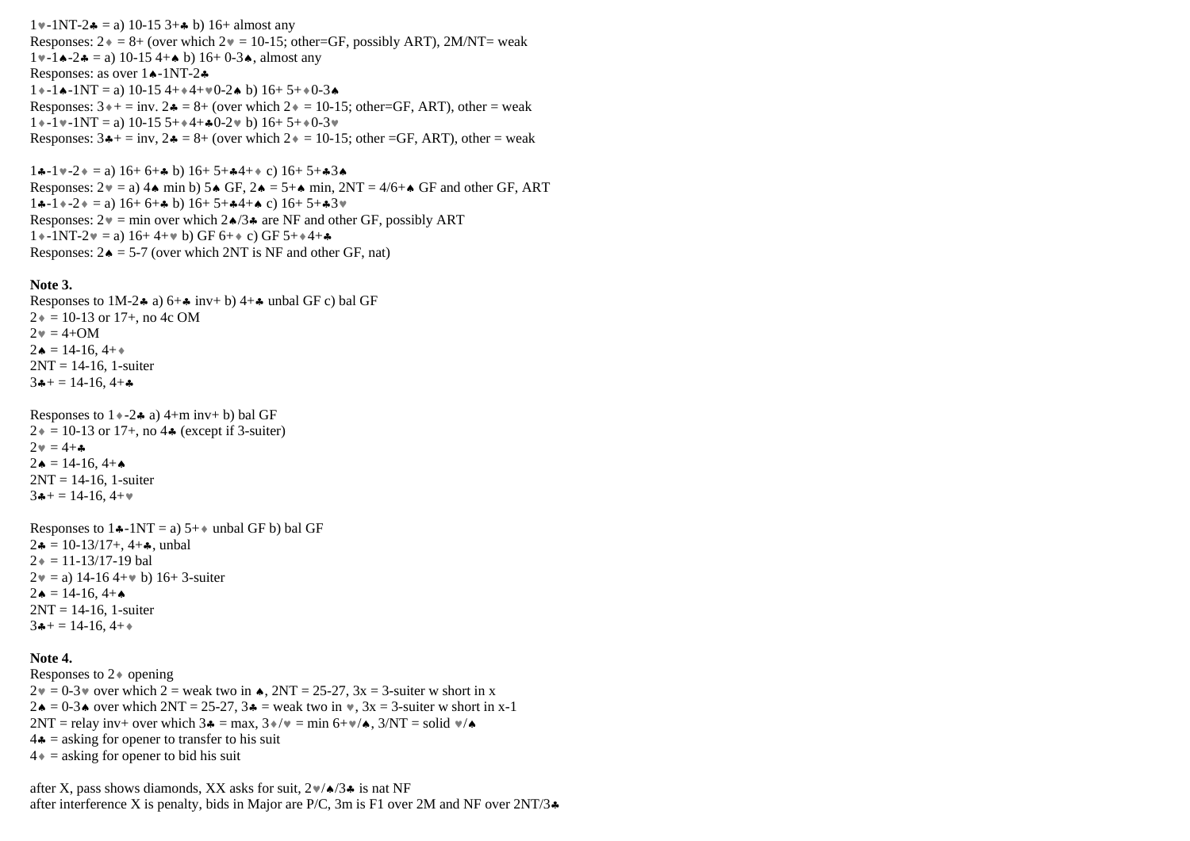$1 \cdot 1 \cdot 1$ NT-2 $\bullet$  = a) 10-15 3+ $\bullet$  b) 16+ almost any Responses:  $2 \cdot = 8 +$  (over which  $2 \cdot = 10 - 15$ ; other=GF, possibly ART), 2M/NT= weak  $1 \cdot -1 \cdot -2 \cdot = a$ ) 10-15 4+ $\cdot$  b) 16+ 0-3 $\cdot$ , almost any Responses: as over  $1 \cdot -1NT - 2 \cdot$  $1*-1$ .  $-1\cdot 1$ T = a) 10-15  $4+1\cdot 4+1$   $-2\cdot 1$  b) 16+ 5+ $+0$ -3. Responses:  $3 \rightarrow +$  = inv.  $2 \rightarrow = 8 +$  (over which  $2 \rightarrow = 10{\text -}15$ ; other=GF, ART), other = weak  $1*$ -1 $\sqrt{1-1}$ -1NT = a) 10-15 5+ $*$ 4+ $*$ 0-2 $\sqrt{0}$  b) 16+ 5+ $\sqrt{0-3}$  $\sqrt{0}$ Responses:  $3 + \equiv inv$ ,  $2 - 8 + (over which 2) = 10-15$ ; other =GF, ART), other = weak

 $1*-1*-2*=a$ )  $16+6+...$  b)  $16+5+...+2+3...$ Responses:  $2 \mathbf{v} = a$  4  $\mathbf{v}$  min b) 5  $\mathbf{A}$  GF,  $2 \mathbf{A} = 5 + \mathbf{v}$  min,  $2NT = 4/6 + \mathbf{A}$  GF and other GF, ART  $1*-1*-2* = a) 16+6+ h b) 16+5+4+ h c) 16+5+43*$ Responses:  $2v = min$  over which  $2\angle 3\angle 4$  are NF and other GF, possibly ART  $1*-1NT-2v = a$ )  $16+4+v$  b) GF  $6+$  c) GF  $5+$  +4+ $\clubsuit$ Responses:  $2\bullet = 5-7$  (over which 2NT is NF and other GF, nat)

#### **Note 3.**

Responses to 1M-2 $\bullet$  a) 6+ $\bullet$  inv+ b) 4+ $\bullet$  unbal GF c) bal GF  $2* = 10-13$  or 17+, no 4c OM  $2 \cdot = 4 + OM$  $2 \triangle = 14 - 16, 4 + \triangle$  $2NT = 14-16$ , 1-suiter  $3+14-16, 4+$ 

```
Responses to 1 \rightarrow -2 \bullet a a) 4+m inv+ b) bal GF
2* = 10-13 or 17+, no 4\clubsuit (except if 3-suiter)
2 \mathbf{v} = 4 + \mathbf{v}2 \bullet = 14 - 16, 4 + \bullet2NT = 14-16, 1-suiter
3+ = 14-16, 4+\nu
```

```
Responses to 1\div 1NT = a) 5+\div unbal GF b) bal GF
2 \cdot = 10 - 13/17 + 4 + \ldots, unbal
2 \div = 11 - 13/17 - 19 bal
2v = a) 14-16 4+v b) 16+ 3-suiter
2 \bullet = 14 - 16, 4 + \bullet2NT = 14-16, 1-suiter
3+14-16, 4+
```
### **Note 4.**

Responses to  $2\ast$  opening  $2\mathbb{v} = 0.3\mathbb{v}$  over which  $2 = \text{weak two in } \spadesuit$ ,  $2NT = 25-27$ ,  $3x = 3$ -suiter w short in x  $2\bullet = 0.3\bullet$  over which  $2NT = 25-27$ ,  $3\bullet =$  weak two in  $\ast$ ,  $3x = 3$ -suiter w short in x-1  $2NT =$  relay inv+ over which  $3\clubsuit = \max$ ,  $3\diamond/\vee = \min 6+\vee/4$ ,  $3/NT =$  solid  $\vee/\diamond$  $4\bullet$  = asking for opener to transfer to his suit  $4 \bullet$  = asking for opener to bid his suit

after X, pass shows diamonds, XX asks for suit,  $2\nu/4/3$  is nat NF after interference X is penalty, bids in Major are P/C, 3m is F1 over 2M and NF over  $2NT/3$ .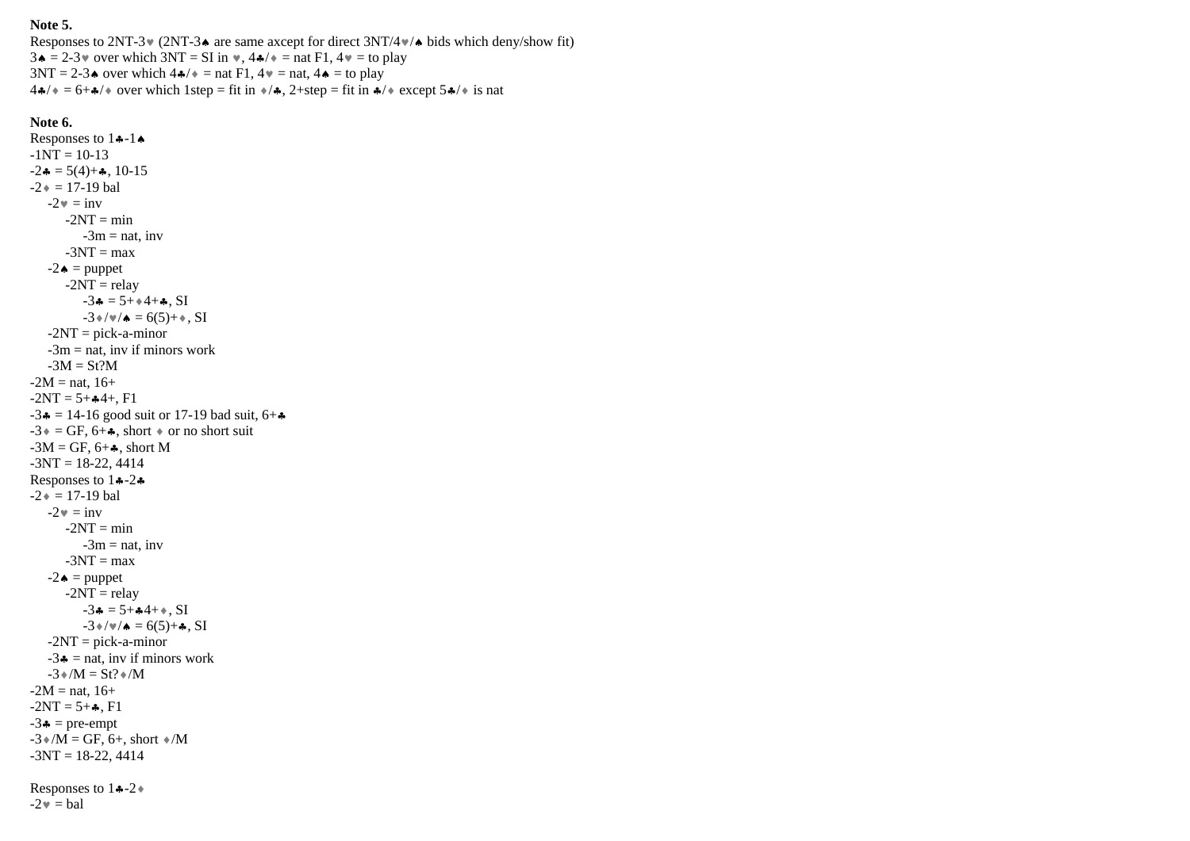## **Note 5.**

Responses to 2NT-3 $\bullet$  (2NT-3 $\bullet$  are same axcept for direct 3NT/4 $\bullet\bullet$  bids which deny/show fit)  $3 \cdot \bullet = 2-3 \cdot \bullet$  over which  $3NT = SI$  in  $\bullet$ ,  $4 \cdot \bullet / \bullet =$  nat F1,  $4 \cdot \bullet =$  to play  $3NT = 2-3$  over which  $4\frac{4}{7}$  = nat F1,  $4\sqrt{ }$  = nat,  $4\blacktriangle$  = to play  $44/$   $= 6+$   $\sqrt{*}$  over which 1step = fit in  $\sqrt{*}$ , 2+step = fit in  $\sqrt{*}$  except 5 $\sqrt{*}$  is nat

# **Note 6.**

 $-2\nu =$ bal

Responses to  $1 - 1$ -1NT = 10-13  $-2 \cdot = 5(4) + \cdot$ , 10-15  $-2 \cdot = 17 - 19$  bal  $-2 \mathbf{v} = \text{inv}$  $-2NT = min$  $-3m =$ nat, inv  $-3NT = max$  $-2 \triangleq$  = puppet  $-2NT =$ relay  $-3 \cdot = 5 + 4 + \cdot$ , SI  $-3*/\nu/4 = 6(5)+\ldots$ , SI  $-2NT = pick-a-minor$  $-3m =$  nat, inv if minors work  $-3M = St?M$  $-2M =$ nat, 16+  $-2NT = 5 + 4 + F1$  $-3$  = 14-16 good suit or 17-19 bad suit, 6+ $\clubsuit$  $-3$  = GF, 6+ $\clubsuit$ , short  $\diamond$  or no short suit  $-3M = GF$ , 6+ $\clubsuit$ , short M  $-3NT = 18-22, 4414$ Responses to  $1 - 2$  $-2 \cdot = 17 - 19$  bal  $-2 \cdot = inv$  $-2NT = min$  $-3m = nat$ , inv  $-3NT = max$  $-2 \triangleleft$  = puppet  $-2NT =$ relay  $-3$   $\bullet$  = 5+ $\bullet$ 4+ $\bullet$ , SI  $-3*/\nu/4 = 6(5)+4$ , SI  $-2NT = pick-a-minor$  $-3$  = nat, inv if minors work  $-3 \cdot /M = St? \cdot /M$  $-2M =$ nat, 16+  $-2NT = 5 + 1$  $-3$   $\bullet$  = pre-empt  $-3$   $M = GF, 6 +$ , short  $M$  $-3NT = 18-22, 4414$ Responses to  $1 \div 2 +$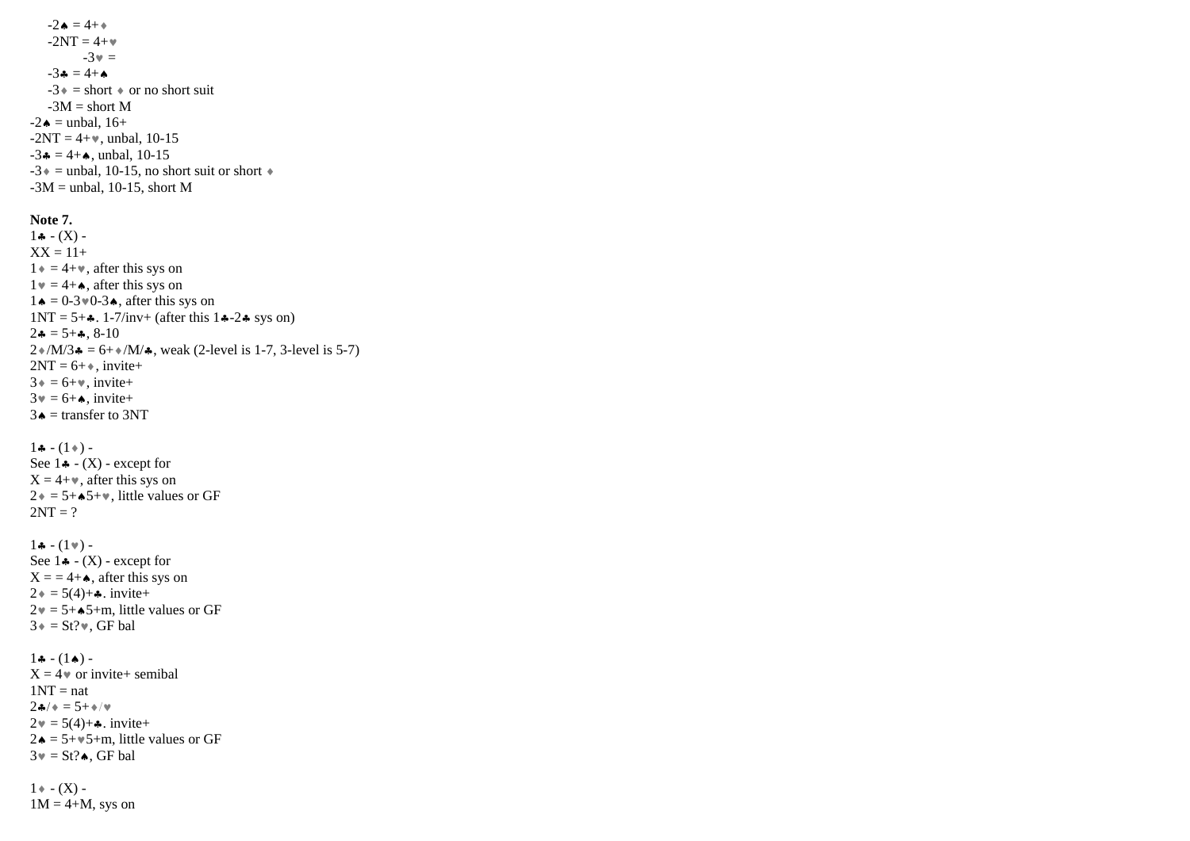$-2 \bullet = 4 + \bullet$  $-2NT = 4 + \bullet$  $-3v =$  $-3 \bullet = 4 + \bullet$  $-3$  = short  $\bullet$  or no short suit  $-3M = short M$  $-2 \triangleq$  = unbal, 16+  $-2NT = 4+w$ , unbal, 10-15  $-3$   $\bullet$  = 4+ $\bullet$ , unbal, 10-15  $-3$  = unbal, 10-15, no short suit or short  $\ast$  $-3M$  = unbal, 10-15, short M

### **Note 7.**

 $1 - (X) XX = 11 +$  $1 \div = 4 + \nu$ , after this sys on  $1 \mathbf{v} = 4 + \mathbf{A}$ , after this sys on  $1 \triangleleft = 0.3 \times 0.3 \triangleleft$ , after this sys on  $1NT = 5 + 4$ . 1-7/inv+ (after this 14-24 sys on)  $2\bullet = 5 + \bullet$ , 8-10  $2\sqrt{M/3}$  = 6+ $\sqrt{M/4}$ , weak (2-level is 1-7, 3-level is 5-7)  $2NT = 6 + \bullet$ , invite+  $3 \cdot = 6 + \cdot \cdot \text{invite+}$  $3 \mathbf{v} = 6 + \mathbf{A}$ , invite+  $3 \triangleq$  = transfer to 3NT

 $1 - (1) -$ See  $1 \triangleq - (X)$  - except for  $X = 4 + \nu$ , after this sys on  $2 \div = 5 + \star 5 + \star$ , little values or GF  $2NT = ?$ 

 $1 - (1)$  -See  $1 \cdot (X)$  - except for  $X = 4+A$ , after this sys on  $2 \cdot = 5(4) + \cdot \cdot \cdot \text{invite+}$  $2\mathbf{v} = 5 + 5\mathbf{m}$ , little values or GF  $3* = \text{St}$ ?\*, GF bal

 $1 - (1)$  - $X = 4$  or invite + semibal  $1NT = nat$  $2a/4 = 5 + 1/4$  $2 \cdot = 5(4) + \cdot \cdot \cdot$  invite+  $2\bullet = 5+\text{+5+m}$ , little values or GF  $3\mathbf{v} = \text{St}?\spadesuit$ , GF bal

 $1 * - (X) 1M = 4+M$ , sys on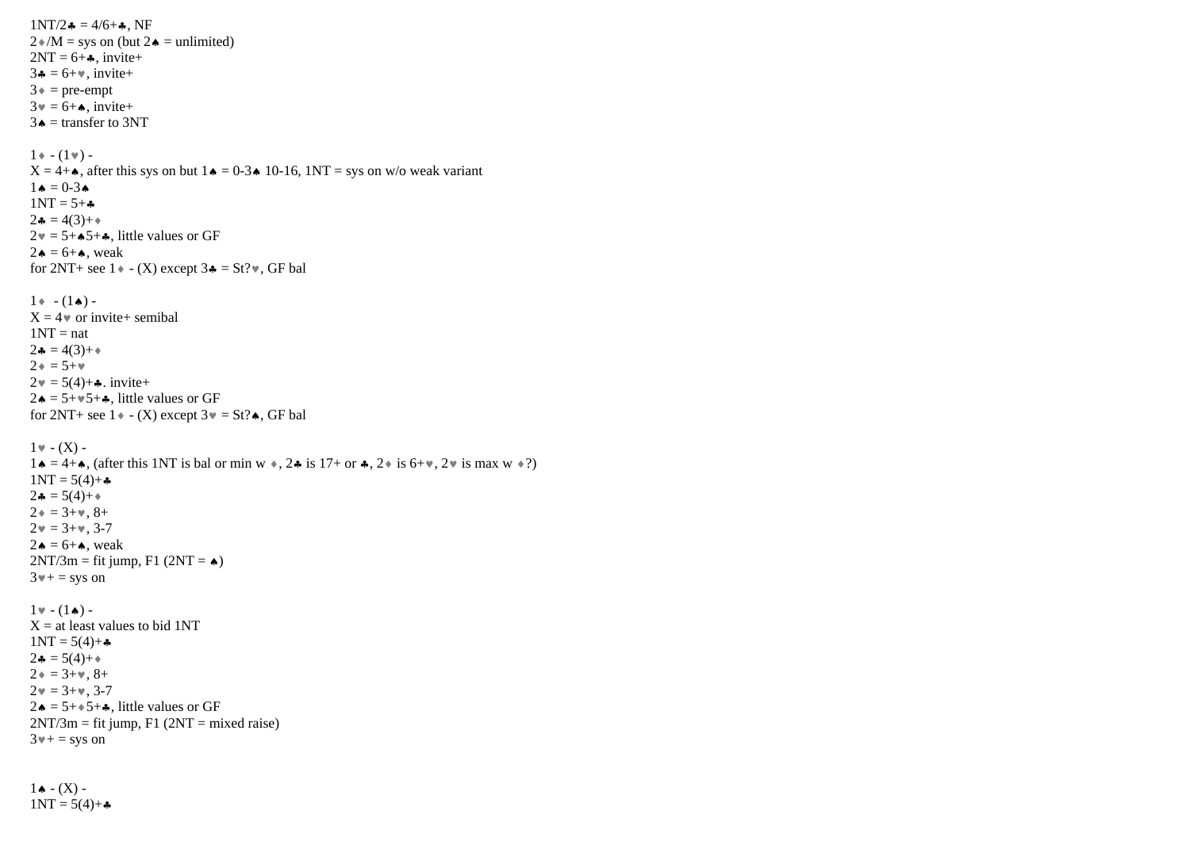```
1NT/2 = 4/6 +, NF
2/M =sys on (but 2 \triangleleft = unlimited)
2NT = 6 + 4, invite+
3 \cdot = 6 + \cdot \cdot \text{invite+}3 \triangleq = pre-empt
3 \cdot \overline{\phantom{0}} = 6 + \bullet, invite+
 3 \triangleq = transfer to 3NT
1 * - (1*) -X = 4 + \bullet, after this sys on but 1 \bullet = 0.3 \bullet 10.16, 1NT = sys on w/o weak variant
 1 \bullet = 0 - 3 \bullet1NT = 5 + \bullet2 \bullet = 4(3) + \bullet2v = 5+A5+A, little values or GF
2 \bullet = 6 + \bullet, weak
for 2NT+ see 1 \cdot (X) except 3 \cdot = St? \cdot, GF bal
1 * - (1*) -
 X = 4 or invite+ semibal
 1NT = nat2 \bullet = 4(3) + \bullet2 \div = 5 + \times2 \cdot = 5(4) + \cdot \cdot \cdot invite+
 2 \cdot \bullet = 5 + \cdot 5 + \bullet, little values or GF
for 2NT+ see 1 \cdot (-X) except 3 \cdot = St?. GF bal
1 \cdot (X) -
1 \bullet = 4 + \bullet. (after this 1NT is bal or min w \bullet, 2 \bullet is 17+ or \bullet, 2 \bullet is 6+\bullet, 2 \bullet is max w \bullet?)
1NT = 5(4) +2 \cdot = 5(4) +2* = 3+, 8+
2v = 3+v, 3-72\bullet = 6 + \bullet, weak
2NT/3m = fit jump, F1 (2NT = \triangleleft)
3* + = sys on
1 \cdot (-1) -
 X = at least values to bid 1NT
1NT = 5(4) +2\clubsuit = 5(4) + \spadesuit2* = 3+, 8+
2v = 3+v, 3-72 \bullet = 5 + \bullet 5 + \bullet, little values or GF
2NT/3m = fit jump, F1 (2NT = mixed raise)3* + = sys on
```
 $1 \bullet - (X) 1NT = 5(4) +$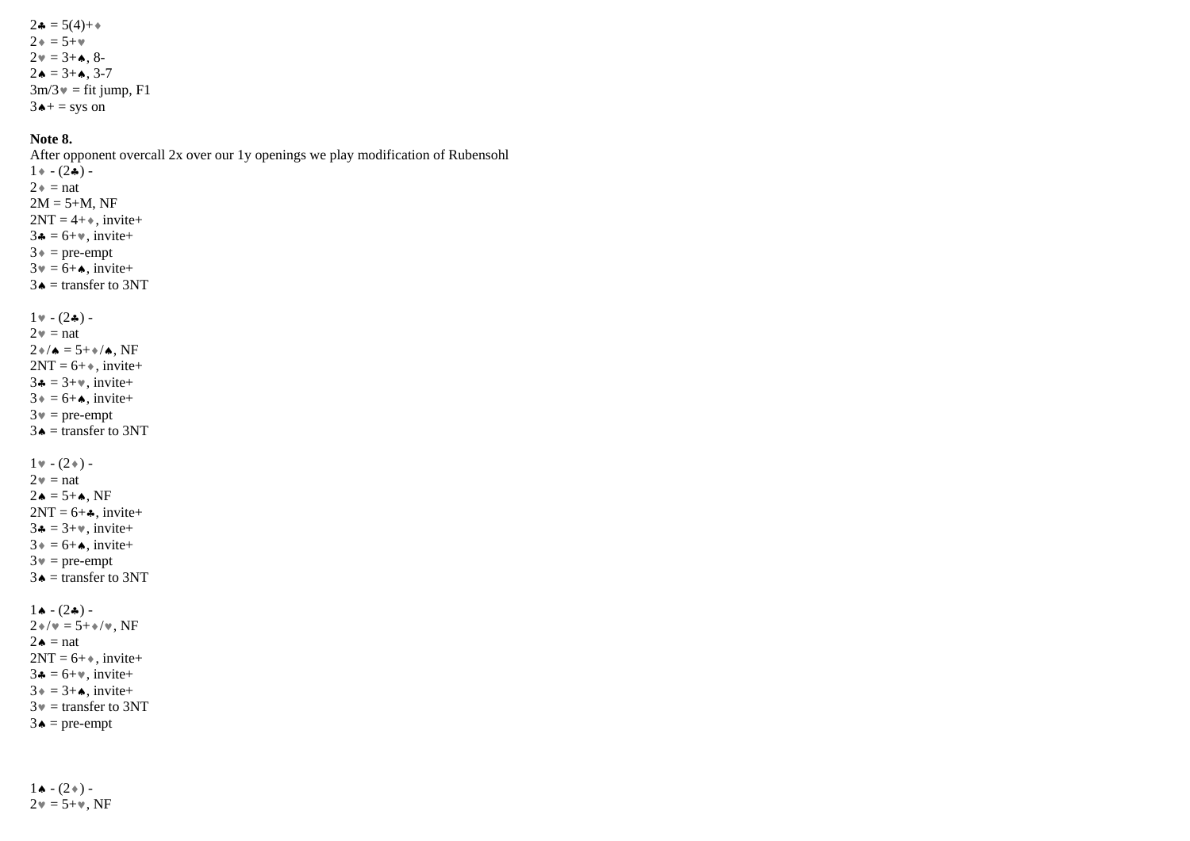$2 \cdot = 5(4) +$  $2 \div = 5 + \times$  $2v = 3 + 4$ , 8- $2 \bullet = 3 + \bullet$ , 3-7  $3m/3$  = fit jump, F1  $3 \triangle +$  = sys on

## **Note 8.**

After opponent overcall 2x over our 1y openings we play modification of Rubensohl  $1 * - (2*) 2 \div = \text{nat}$  $2M = 5 + M$ , NF  $2NT = 4 + \bullet$ , invite+  $3 \cdot = 6 + \cdot \cdot$ , invite+  $3 \triangleq$  = pre-empt  $3 \cdot \overline{)} = 6 + \bullet$ , invite+  $3 \triangleq$  = transfer to 3NT  $1 \cdot (2 \cdot )$  - $2 \cdot \cdot =$ nat  $2*/\bullet = 5+*/\bullet$ , NF  $2NT = 6 + \ast$ , invite+  $3 \div 3 + \times \text{invite} +$  $3 \div = 6 + \bullet$ , invite+  $3\mathbf{v} = \text{pre-empty}$  $3 \triangleq$  = transfer to 3NT  $1 \cdot (-2)$  - $2 \cdot \cdot =$ nat  $2 \triangle = 5 + \triangle$ , NF  $2NT = 6 + \bullet$ , invite+  $3 \div 3 + \cdots$ , invite+  $3 \div = 6 + \bullet$ , invite+  $3 \mathbf{v} = \text{pre-empty}$  $3 \triangleq$  = transfer to 3NT  $1 \bullet - (2 \clubsuit) 2*/v = 5+*/v$ , NF  $2 \triangle$  = nat  $2NT = 6 + \bullet$ , invite+  $3 - 6 + \dots$ , invite+  $3 \div = 3 + \bullet$ , invite+  $3\mathbf{v}$  = transfer to 3NT  $3 \triangle = \text{pre-empty}$ 

 $1 \cdot (2*)$  - $2v = 5 + v$ , NF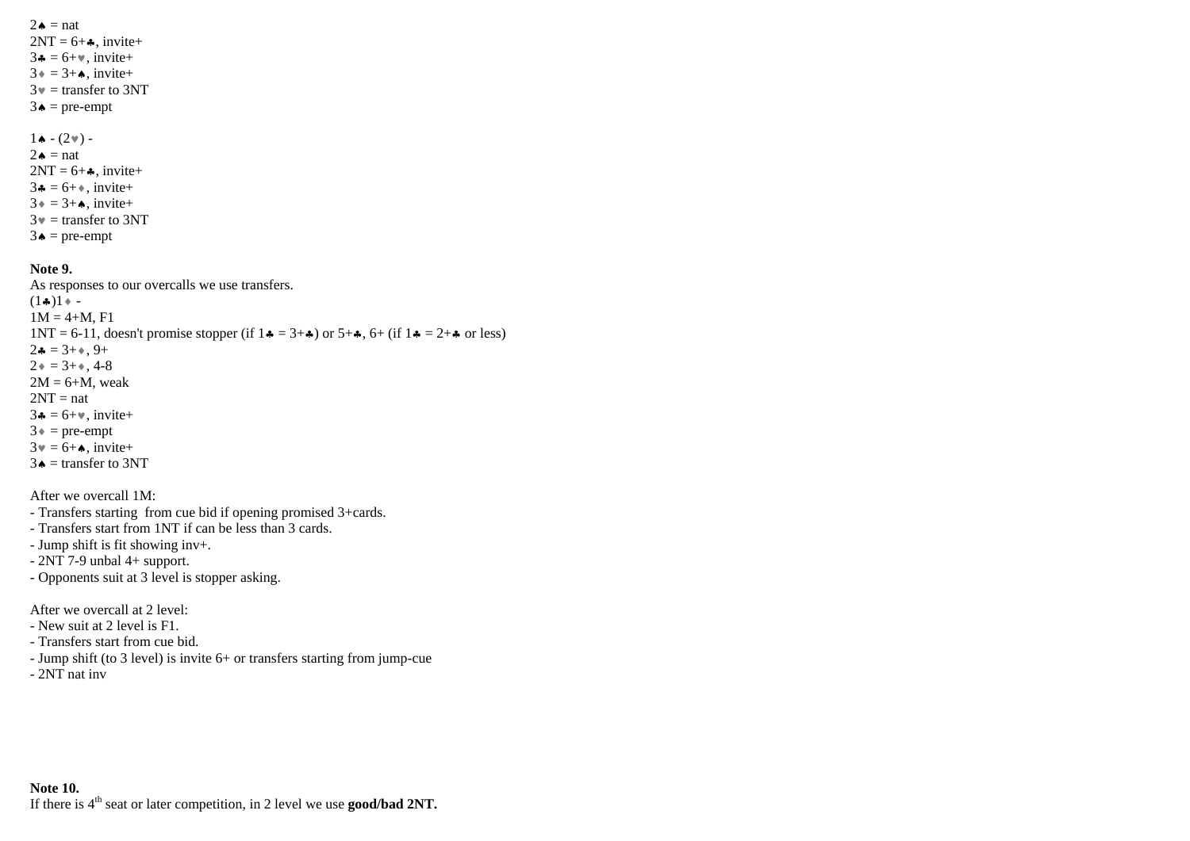$2\bullet$  = nat  $2NT = 6 + 4$ , invite+  $3 - 6 + \dots$ , invite+  $3 \cdot = 3 + \bullet$ , invite+  $3\mathbf{v}$  = transfer to 3NT  $3 \triangleq$  = pre-empt

 $1 \bullet - (2 \cdot ) 2 \triangleq$  = nat  $2NT = 6 + 4$ , invite+  $3 \cdot 5 = 6 + \cdot \text{invite} +$  $3 \cdot = 3 + \bullet$ , invite+  $3\mathbf{v}$  = transfer to 3NT  $3 \triangleq$  = pre-empt

### **Note 9.**

As responses to our overcalls we use transfers.  $(1\clubsuit)1$  + - $1M = 4+M$ , F1  $1NT = 6-11$ , doesn't promise stopper (if  $1 \cdot = 3 + \cdot$ ) or  $5+\cdot$ , 6+ (if  $1 \cdot = 2+\cdot$  or less)  $2 - 3 + 9 + 9 +$  $2* = 3+$ , 4-8  $2M = 6+M$ , weak  $2NT = nat$  $3 \div 5 + \times$ , invite+  $3* = pre-empt$  $3 \mathbf{v} = 6 + \mathbf{A}$ , invite+  $3 \triangleq$  = transfer to 3NT

After we overcall 1M:

- Transfers starting from cue bid if opening promised 3+cards.

- Transfers start from 1NT if can be less than 3 cards.

- Jump shift is fit showing inv+.

- 2NT 7-9 unbal 4+ support.

- Opponents suit at 3 level is stopper asking.

After we overcall at 2 level:

- New suit at 2 level is F1.

- Transfers start from cue bid.

- Jump shift (to 3 level) is invite 6+ or transfers starting from jump-cue

- 2NT nat inv